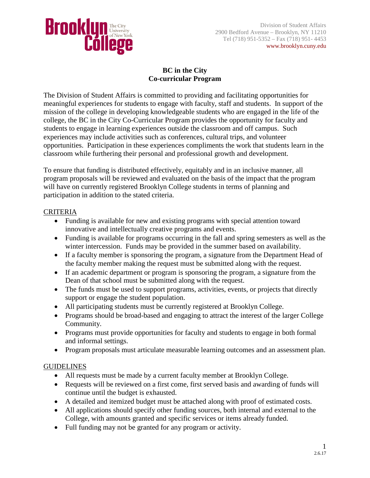

# **BC in the City Co-curricular Program**

The Division of Student Affairs is committed to providing and facilitating opportunities for meaningful experiences for students to engage with faculty, staff and students. In support of the mission of the college in developing knowledgeable students who are engaged in the life of the college, the BC in the City Co-Curricular Program provides the opportunity for faculty and students to engage in learning experiences outside the classroom and off campus. Such experiences may include activities such as conferences, cultural trips, and volunteer opportunities. Participation in these experiences compliments the work that students learn in the classroom while furthering their personal and professional growth and development.

To ensure that funding is distributed effectively, equitably and in an inclusive manner, all program proposals will be reviewed and evaluated on the basis of the impact that the program will have on currently registered Brooklyn College students in terms of planning and participation in addition to the stated criteria.

## CRITERIA

- Funding is available for new and existing programs with special attention toward innovative and intellectually creative programs and events.
- Funding is available for programs occurring in the fall and spring semesters as well as the winter intercession. Funds may be provided in the summer based on availability.
- If a faculty member is sponsoring the program, a signature from the Department Head of the faculty member making the request must be submitted along with the request.
- If an academic department or program is sponsoring the program, a signature from the Dean of that school must be submitted along with the request.
- The funds must be used to support programs, activities, events, or projects that directly support or engage the student population.
- All participating students must be currently registered at Brooklyn College.
- Programs should be broad-based and engaging to attract the interest of the larger College Community.
- Programs must provide opportunities for faculty and students to engage in both formal and informal settings.
- Program proposals must articulate measurable learning outcomes and an assessment plan.

## **GUIDELINES**

- All requests must be made by a current faculty member at Brooklyn College.
- Requests will be reviewed on a first come, first served basis and awarding of funds will continue until the budget is exhausted.
- A detailed and itemized budget must be attached along with proof of estimated costs.
- All applications should specify other funding sources, both internal and external to the College, with amounts granted and specific services or items already funded.
- Full funding may not be granted for any program or activity.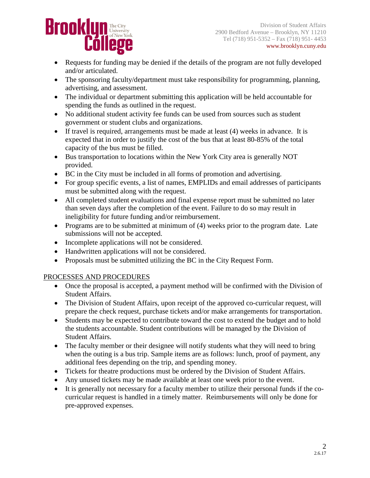

Division of Student Affairs **Brooklyn, NY 11210**<br>2900 Bedford Avenue – Brooklyn, NY 11210  $\text{TR}^{(718) 951-5352 - \text{Fax} (718) 951-4453}$  www.brooklyn.cuny.edu www.brooklyn.cuny.edu

- Requests for funding may be denied if the details of the program are not fully developed and/or articulated.
- The sponsoring faculty/department must take responsibility for programming, planning, advertising, and assessment.
- The individual or department submitting this application will be held accountable for spending the funds as outlined in the request.
- No additional student activity fee funds can be used from sources such as student government or student clubs and organizations.
- If travel is required, arrangements must be made at least (4) weeks in advance. It is expected that in order to justify the cost of the bus that at least 80-85% of the total capacity of the bus must be filled.
- Bus transportation to locations within the New York City area is generally NOT provided.
- BC in the City must be included in all forms of promotion and advertising.
- For group specific events, a list of names, EMPLIDs and email addresses of participants must be submitted along with the request.
- All completed student evaluations and final expense report must be submitted no later than seven days after the completion of the event. Failure to do so may result in ineligibility for future funding and/or reimbursement.
- Programs are to be submitted at minimum of (4) weeks prior to the program date. Late submissions will not be accepted.
- Incomplete applications will not be considered.
- Handwritten applications will not be considered.
- Proposals must be submitted utilizing the BC in the City Request Form.

## PROCESSES AND PROCEDURES

- Once the proposal is accepted, a payment method will be confirmed with the Division of Student Affairs.
- The Division of Student Affairs, upon receipt of the approved co-curricular request, will prepare the check request, purchase tickets and/or make arrangements for transportation.
- Students may be expected to contribute toward the cost to extend the budget and to hold the students accountable. Student contributions will be managed by the Division of Student Affairs.
- The faculty member or their designee will notify students what they will need to bring when the outing is a bus trip. Sample items are as follows: lunch, proof of payment, any additional fees depending on the trip, and spending money.
- Tickets for theatre productions must be ordered by the Division of Student Affairs.
- Any unused tickets may be made available at least one week prior to the event.
- It is generally not necessary for a faculty member to utilize their personal funds if the cocurricular request is handled in a timely matter. Reimbursements will only be done for pre-approved expenses.